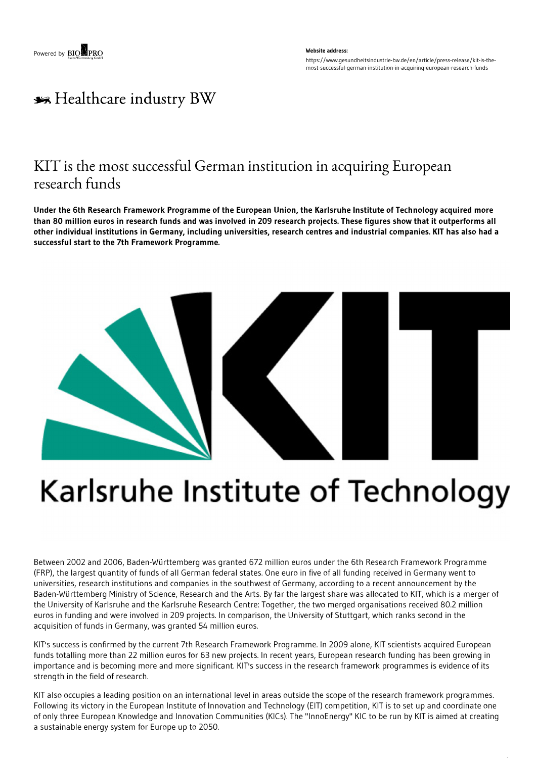#### **Website address:** https://www.gesundheitsindustrie-bw.de/en/article/press-release/kit-is-themost-successful-german-institution-in-acquiring-european-research-funds

## \*\* Healthcare industry BW

## KIT is the most successful German institution in acquiring European research funds

Under the 6th Research Framework Programme of the European Union, the Karlsruhe Institute of Technology acquired more than 80 million euros in research funds and was involved in 209 research projects. These figures show that it outperforms all other individual institutions in Germany, including universities, research centres and industrial companies. KIT has also had a **successful start to the 7th Framework Programme.**



# Karlsruhe Institute of Technology

Between 2002 and 2006, Baden-Württemberg was granted 672 million euros under the 6th Research Framework Programme (FRP), the largest quantity of funds of all German federal states. One euro in five of all funding received in Germany went to universities, research institutions and companies in the southwest of Germany, according to a recent announcement by the Baden-Württemberg Ministry of Science, Research and the Arts. By far the largest share was allocated to KIT, which is a merger of the University of Karlsruhe and the Karlsruhe Research Centre: Together, the two merged organisations received 80.2 million euros in funding and were involved in 209 projects. In comparison, the University of Stuttgart, which ranks second in the acquisition of funds in Germany, was granted 54 million euros.

KIT's success is confirmed by the current 7th Research Framework Programme. In 2009 alone, KIT scientists acquired European funds totalling more than 22 million euros for 63 new projects. In recent years, European research funding has been growing in importance and is becoming more and more significant. KIT's success in the research framework programmes is evidence of its strength in the field of research.

KIT also occupies a leading position on an international level in areas outside the scope of the research framework programmes. Following its victory in the European Institute of Innovation and Technology (EIT) competition, KIT is to set up and coordinate one of only three European Knowledge and Innovation Communities (KICs). The "InnoEnergy" KIC to be run by KIT is aimed at creating a sustainable energy system for Europe up to 2050.